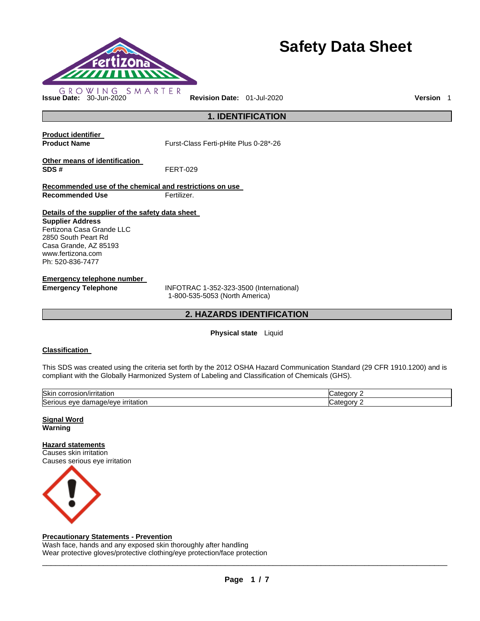

# **Safety Data Sheet**

**1. IDENTIFICATION** 

**Product identifier** 

**Product Name** Furst-Class Ferti-pHite Plus 0-28\*-26

**Other means of identification SDS #** FERT-029

**Recommended use of the chemical and restrictions on use Recommended Use Fertilizer.** 

**Details of the supplier of the safety data sheet** 

**Supplier Address** Fertizona Casa Grande LLC 2850 South Peart Rd Casa Grande, AZ 85193 www.fertizona.com Ph: 520-836-7477

**Emergency telephone number** 

**Emergency Telephone** INFOTRAC 1-352-323-3500 (International) 1-800-535-5053 (North America)

## **2. HAZARDS IDENTIFICATION**

#### **Physical state** Liquid

#### **Classification**

This SDS was created using the criteria set forth by the 2012 OSHA Hazard Communication Standard (29 CFR 1910.1200) and is compliant with the Globally Harmonized System of Labeling and Classification of Chemicals (GHS).

| Skir<br>$\sim$ $\sim$ $\sim$ $\sim$<br>)/irritatior<br>JOLL,<br>'OSIOI      | z<br>----<br>- דבי |
|-----------------------------------------------------------------------------|--------------------|
| $\sim$<br><u>irritation</u><br>Serio<br>eve<br>eveve in<br>паг<br>на<br>. . | z                  |

**Signal Word Warning** 

**Hazard statements** Causes skin irritation

Causes serious eye irritation



#### **Precautionary Statements - Prevention**

Wash face, hands and any exposed skin thoroughly after handling Wear protective gloves/protective clothing/eye protection/face protection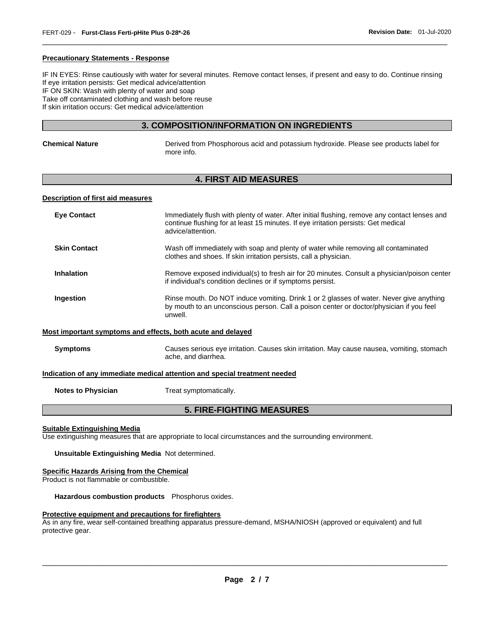#### **Precautionary Statements - Response**

IF IN EYES: Rinse cautiously with water for several minutes. Remove contact lenses, if present and easy to do. Continue rinsing If eye irritation persists: Get medical advice/attention IF ON SKIN: Wash with plenty of water and soap Take off contaminated clothing and wash before reuse If skin irritation occurs: Get medical advice/attention

\_\_\_\_\_\_\_\_\_\_\_\_\_\_\_\_\_\_\_\_\_\_\_\_\_\_\_\_\_\_\_\_\_\_\_\_\_\_\_\_\_\_\_\_\_\_\_\_\_\_\_\_\_\_\_\_\_\_\_\_\_\_\_\_\_\_\_\_\_\_\_\_\_\_\_\_\_\_\_\_\_\_\_\_\_\_\_\_\_\_\_\_\_

## **3. COMPOSITION/INFORMATION ON INGREDIENTS**

| Chemical Nature | Derived from Phosphorous acid and potassium hydroxide. Please see products label for<br>more info. |
|-----------------|----------------------------------------------------------------------------------------------------|
|                 |                                                                                                    |

## **4. FIRST AID MEASURES**

#### **Description of first aid measures**

| <b>Eve Contact</b>                                                         | Immediately flush with plenty of water. After initial flushing, remove any contact lenses and<br>continue flushing for at least 15 minutes. If eye irritation persists: Get medical<br>advice/attention. |  |
|----------------------------------------------------------------------------|----------------------------------------------------------------------------------------------------------------------------------------------------------------------------------------------------------|--|
| <b>Skin Contact</b>                                                        | Wash off immediately with soap and plenty of water while removing all contaminated<br>clothes and shoes. If skin irritation persists, call a physician.                                                  |  |
| <b>Inhalation</b>                                                          | Remove exposed individual(s) to fresh air for 20 minutes. Consult a physician/poison center<br>if individual's condition declines or if symptoms persist.                                                |  |
| Ingestion                                                                  | Rinse mouth. Do NOT induce vomiting. Drink 1 or 2 glasses of water. Never give anything<br>by mouth to an unconscious person. Call a poison center or doctor/physician if you feel<br>unwell.            |  |
| Most important symptoms and effects, both acute and delayed                |                                                                                                                                                                                                          |  |
| <b>Symptoms</b>                                                            | Causes serious eye irritation. Causes skin irritation. May cause nausea, vomiting, stomach<br>ache, and diarrhea.                                                                                        |  |
| Indication of any immediate medical attention and special treatment needed |                                                                                                                                                                                                          |  |

**Notes to Physician Treat symptomatically.** 

## **5. FIRE-FIGHTING MEASURES**

#### **Suitable Extinguishing Media**

Use extinguishing measures that are appropriate to local circumstances and the surrounding environment.

**Unsuitable Extinguishing Media** Not determined.

#### **Specific Hazards Arising from the Chemical**

Product is not flammable or combustible.

**Hazardous combustion products** Phosphorus oxides.

#### **Protective equipment and precautions for firefighters**

As in any fire, wear self-contained breathing apparatus pressure-demand, MSHA/NIOSH (approved or equivalent) and full protective gear.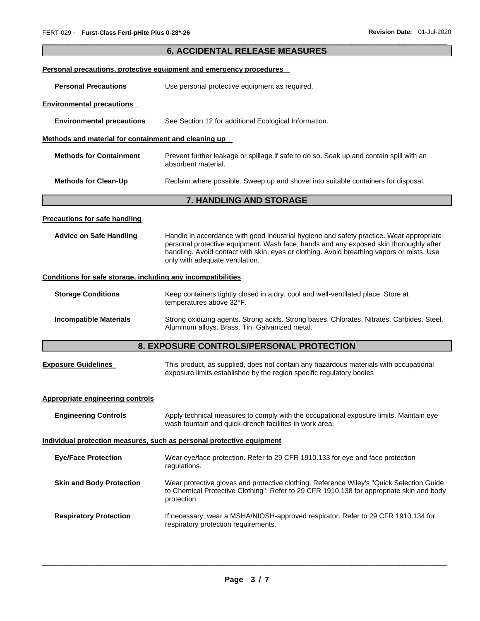|                                                                       | <b>6. ACCIDENTAL RELEASE MEASURES</b>                                                                                                                                                                                                                                                                            |  |  |
|-----------------------------------------------------------------------|------------------------------------------------------------------------------------------------------------------------------------------------------------------------------------------------------------------------------------------------------------------------------------------------------------------|--|--|
|                                                                       | Personal precautions, protective equipment and emergency procedures                                                                                                                                                                                                                                              |  |  |
| <b>Personal Precautions</b>                                           | Use personal protective equipment as required.                                                                                                                                                                                                                                                                   |  |  |
| <b>Environmental precautions</b>                                      |                                                                                                                                                                                                                                                                                                                  |  |  |
| <b>Environmental precautions</b>                                      | See Section 12 for additional Ecological Information.                                                                                                                                                                                                                                                            |  |  |
| Methods and material for containment and cleaning up                  |                                                                                                                                                                                                                                                                                                                  |  |  |
| <b>Methods for Containment</b>                                        | Prevent further leakage or spillage if safe to do so. Soak up and contain spill with an<br>absorbent material.                                                                                                                                                                                                   |  |  |
| <b>Methods for Clean-Up</b>                                           | Reclaim where possible. Sweep up and shovel into suitable containers for disposal.                                                                                                                                                                                                                               |  |  |
|                                                                       | 7. HANDLING AND STORAGE                                                                                                                                                                                                                                                                                          |  |  |
| <b>Precautions for safe handling</b>                                  |                                                                                                                                                                                                                                                                                                                  |  |  |
| <b>Advice on Safe Handling</b>                                        | Handle in accordance with good industrial hygiene and safety practice. Wear appropriate<br>personal protective equipment. Wash face, hands and any exposed skin thoroughly after<br>handling. Avoid contact with skin, eyes or clothing. Avoid breathing vapors or mists. Use<br>only with adequate ventilation. |  |  |
| Conditions for safe storage, including any incompatibilities          |                                                                                                                                                                                                                                                                                                                  |  |  |
| <b>Storage Conditions</b>                                             | Keep containers tightly closed in a dry, cool and well-ventilated place. Store at<br>temperatures above 32°F.                                                                                                                                                                                                    |  |  |
| <b>Incompatible Materials</b>                                         | Strong oxidizing agents. Strong acids. Strong bases. Chlorates. Nitrates. Carbides. Steel.<br>Aluminum alloys. Brass. Tin. Galvanized metal.                                                                                                                                                                     |  |  |
|                                                                       | 8. EXPOSURE CONTROLS/PERSONAL PROTECTION                                                                                                                                                                                                                                                                         |  |  |
| <b>Exposure Guidelines</b>                                            | This product, as supplied, does not contain any hazardous materials with occupational<br>exposure limits established by the region specific regulatory bodies                                                                                                                                                    |  |  |
| <b>Appropriate engineering controls</b>                               |                                                                                                                                                                                                                                                                                                                  |  |  |
| <b>Engineering Controls</b>                                           | Apply technical measures to comply with the occupational exposure limits. Maintain eye<br>wash fountain and quick-drench facilities in work area.                                                                                                                                                                |  |  |
| Individual protection measures, such as personal protective equipment |                                                                                                                                                                                                                                                                                                                  |  |  |
| <b>Eye/Face Protection</b>                                            | Wear eye/face protection. Refer to 29 CFR 1910.133 for eye and face protection<br>regulations.                                                                                                                                                                                                                   |  |  |
| <b>Skin and Body Protection</b>                                       | Wear protective gloves and protective clothing. Reference Wiley's "Quick Selection Guide<br>to Chemical Protective Clothing". Refer to 29 CFR 1910.138 for appropriate skin and body<br>protection.                                                                                                              |  |  |
| <b>Respiratory Protection</b>                                         | If necessary, wear a MSHA/NIOSH-approved respirator. Refer to 29 CFR 1910.134 for<br>respiratory protection requirements.                                                                                                                                                                                        |  |  |

\_\_\_\_\_\_\_\_\_\_\_\_\_\_\_\_\_\_\_\_\_\_\_\_\_\_\_\_\_\_\_\_\_\_\_\_\_\_\_\_\_\_\_\_\_\_\_\_\_\_\_\_\_\_\_\_\_\_\_\_\_\_\_\_\_\_\_\_\_\_\_\_\_\_\_\_\_\_\_\_\_\_\_\_\_\_\_\_\_\_\_\_\_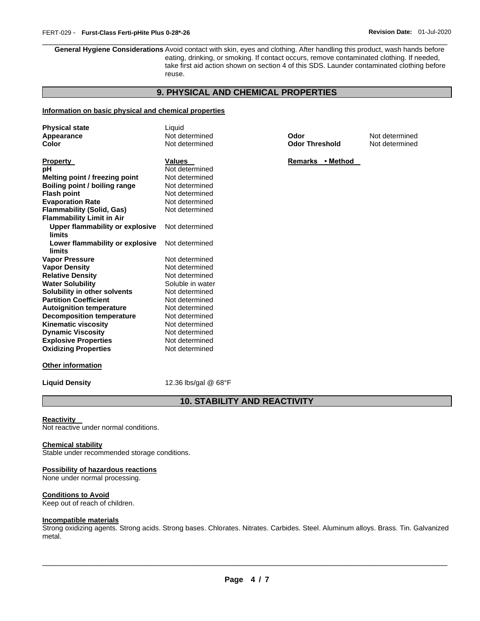\_\_\_\_\_\_\_\_\_\_\_\_\_\_\_\_\_\_\_\_\_\_\_\_\_\_\_\_\_\_\_\_\_\_\_\_\_\_\_\_\_\_\_\_\_\_\_\_\_\_\_\_\_\_\_\_\_\_\_\_\_\_\_\_\_\_\_\_\_\_\_\_\_\_\_\_\_\_\_\_\_\_\_\_\_\_\_\_\_\_\_\_\_ **General Hygiene Considerations** Avoid contact with skin, eyes and clothing. After handling this product, wash hands before eating, drinking, or smoking. If contact occurs, remove contaminated clothing. If needed, take first aid action shown on section 4 of this SDS. Launder contaminated clothing before reuse.

## **9. PHYSICAL AND CHEMICAL PROPERTIES**

#### **Information on basic physical and chemical properties**

| <b>Physical state</b>                     | Liquid           |                       |                |
|-------------------------------------------|------------------|-----------------------|----------------|
| Appearance                                | Not determined   | Odor                  | Not determined |
| Color                                     | Not determined   | <b>Odor Threshold</b> | Not determined |
| Property                                  | <b>Values</b>    | Remarks • Method      |                |
| рH                                        | Not determined   |                       |                |
| Melting point / freezing point            | Not determined   |                       |                |
| Boiling point / boiling range             | Not determined   |                       |                |
| <b>Flash point</b>                        | Not determined   |                       |                |
| <b>Evaporation Rate</b>                   | Not determined   |                       |                |
| Flammability (Solid, Gas)                 | Not determined   |                       |                |
| <b>Flammability Limit in Air</b>          |                  |                       |                |
| Upper flammability or explosive<br>limits | Not determined   |                       |                |
| Lower flammability or explosive           | Not determined   |                       |                |
| limits                                    |                  |                       |                |
| Vapor Pressure                            | Not determined   |                       |                |
| <b>Vapor Density</b>                      | Not determined   |                       |                |
| <b>Relative Density</b>                   | Not determined   |                       |                |
| <b>Water Solubility</b>                   | Soluble in water |                       |                |
| Solubility in other solvents              | Not determined   |                       |                |
| <b>Partition Coefficient</b>              | Not determined   |                       |                |
| <b>Autoignition temperature</b>           | Not determined   |                       |                |
| <b>Decomposition temperature</b>          | Not determined   |                       |                |
| Kinematic viscosity                       | Not determined   |                       |                |
| <b>Dynamic Viscosity</b>                  | Not determined   |                       |                |
| <b>Explosive Properties</b>               | Not determined   |                       |                |
| <b>Oxidizing Properties</b>               | Not determined   |                       |                |
|                                           |                  |                       |                |

#### **Other information**

**Liquid Density** 12.36 lbs/gal @ 68°F

## **10. STABILITY AND REACTIVITY**

#### **Reactivity**

Not reactive under normal conditions.

#### **Chemical stability**

Stable under recommended storage conditions.

#### **Possibility of hazardous reactions**

None under normal processing.

#### **Conditions to Avoid**

Keep out of reach of children.

## **Incompatible materials**

Strong oxidizing agents. Strong acids. Strong bases. Chlorates. Nitrates. Carbides. Steel. Aluminum alloys. Brass. Tin. Galvanized metal.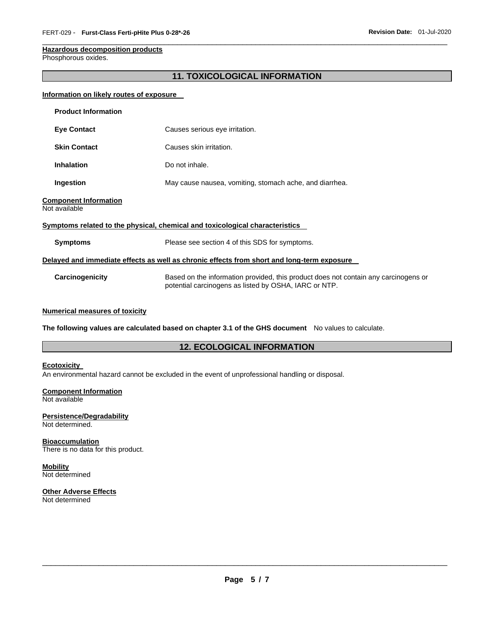## **Hazardous decomposition products**

Phosphorous oxides.

## **11. TOXICOLOGICAL INFORMATION**

\_\_\_\_\_\_\_\_\_\_\_\_\_\_\_\_\_\_\_\_\_\_\_\_\_\_\_\_\_\_\_\_\_\_\_\_\_\_\_\_\_\_\_\_\_\_\_\_\_\_\_\_\_\_\_\_\_\_\_\_\_\_\_\_\_\_\_\_\_\_\_\_\_\_\_\_\_\_\_\_\_\_\_\_\_\_\_\_\_\_\_\_\_

#### **Information on likely routes of exposure**

| <b>Product Information</b>                                                                 |                                                                                                                                              |  |  |
|--------------------------------------------------------------------------------------------|----------------------------------------------------------------------------------------------------------------------------------------------|--|--|
| <b>Eye Contact</b>                                                                         | Causes serious eye irritation.                                                                                                               |  |  |
| <b>Skin Contact</b>                                                                        | Causes skin irritation.                                                                                                                      |  |  |
| <b>Inhalation</b>                                                                          | Do not inhale.                                                                                                                               |  |  |
| Ingestion                                                                                  | May cause nausea, vomiting, stomach ache, and diarrhea.                                                                                      |  |  |
| <b>Component Information</b><br>Not available                                              |                                                                                                                                              |  |  |
|                                                                                            | Symptoms related to the physical, chemical and toxicological characteristics                                                                 |  |  |
| <b>Symptoms</b>                                                                            | Please see section 4 of this SDS for symptoms.                                                                                               |  |  |
| Delayed and immediate effects as well as chronic effects from short and long-term exposure |                                                                                                                                              |  |  |
| Carcinogenicity                                                                            | Based on the information provided, this product does not contain any carcinogens or<br>potential carcinogens as listed by OSHA, IARC or NTP. |  |  |

#### **Numerical measures of toxicity**

**The following values are calculated based on chapter 3.1 of the GHS document** No values to calculate.

#### **12. ECOLOGICAL INFORMATION**

#### **Ecotoxicity**

An environmental hazard cannot be excluded in the event of unprofessional handling or disposal.

#### **Component Information**

Not available

## **Persistence/Degradability**

Not determined.

#### **Bioaccumulation**

There is no data for this product.

#### **Mobility** Not determined

## **Other Adverse Effects**

Not determined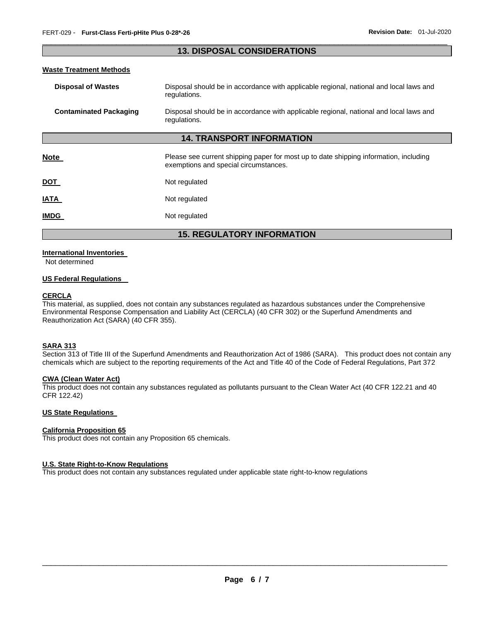#### \_\_\_\_\_\_\_\_\_\_\_\_\_\_\_\_\_\_\_\_\_\_\_\_\_\_\_\_\_\_\_\_\_\_\_\_\_\_\_\_\_\_\_\_\_\_\_\_\_\_\_\_\_\_\_\_\_\_\_\_\_\_\_\_\_\_\_\_\_\_\_\_\_\_\_\_\_\_\_\_\_\_\_\_\_\_\_\_\_\_\_\_\_ **13. DISPOSAL CONSIDERATIONS**

#### **Waste Treatment Methods**

| <b>Disposal of Wastes</b>        | Disposal should be in accordance with applicable regional, national and local laws and<br>regulations.                         |  |
|----------------------------------|--------------------------------------------------------------------------------------------------------------------------------|--|
| <b>Contaminated Packaging</b>    | Disposal should be in accordance with applicable regional, national and local laws and<br>regulations.                         |  |
| <b>14. TRANSPORT INFORMATION</b> |                                                                                                                                |  |
| <b>Note</b>                      | Please see current shipping paper for most up to date shipping information, including<br>exemptions and special circumstances. |  |
| <u>DOT</u>                       | Not regulated                                                                                                                  |  |
| <b>ATAI</b>                      | Not regulated                                                                                                                  |  |
| <b>IMDG</b>                      | Not regulated                                                                                                                  |  |

## **15. REGULATORY INFORMATION**

#### **International Inventories**

Not determined

#### **US Federal Regulations**

#### **CERCLA**

This material, as supplied, does not contain any substances regulated as hazardous substances under the Comprehensive Environmental Response Compensation and Liability Act (CERCLA) (40 CFR 302) or the Superfund Amendments and Reauthorization Act (SARA) (40 CFR 355).

#### **SARA 313**

Section 313 of Title III of the Superfund Amendments and Reauthorization Act of 1986 (SARA). This product does not contain any chemicals which are subject to the reporting requirements of the Act and Title 40 of the Code of Federal Regulations, Part 372

#### **CWA (Clean Water Act)**

This product does not contain any substances regulated as pollutants pursuant to the Clean Water Act (40 CFR 122.21 and 40 CFR 122.42)

#### **US State Regulations**

#### **California Proposition 65**

This product does not contain any Proposition 65 chemicals.

#### **U.S. State Right-to-Know Regulations**

This product does not contain any substances regulated under applicable state right-to-know regulations